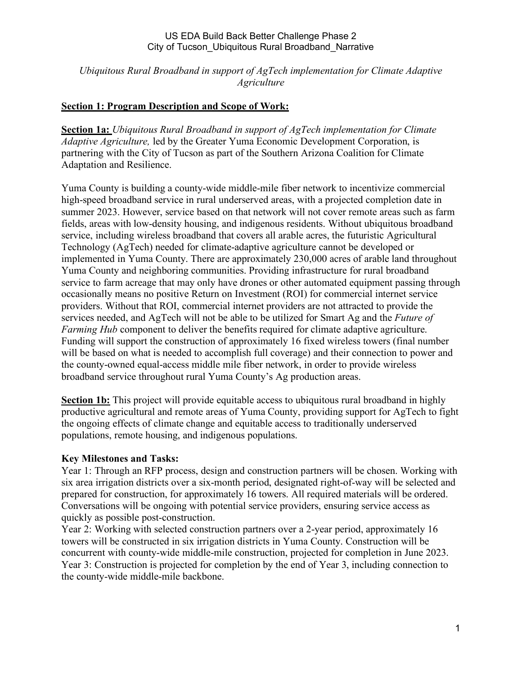*Ubiquitous Rural Broadband in support of AgTech implementation for Climate Adaptive Agriculture*

# **Section 1: Program Description and Scope of Work:**

**Section 1a:** *Ubiquitous Rural Broadband in support of AgTech implementation for Climate Adaptive Agriculture,* led by the Greater Yuma Economic Development Corporation, is partnering with the City of Tucson as part of the Southern Arizona Coalition for Climate Adaptation and Resilience.

Yuma County is building a county-wide middle-mile fiber network to incentivize commercial high-speed broadband service in rural underserved areas, with a projected completion date in summer 2023. However, service based on that network will not cover remote areas such as farm fields, areas with low-density housing, and indigenous residents. Without ubiquitous broadband service, including wireless broadband that covers all arable acres, the futuristic Agricultural Technology (AgTech) needed for climate-adaptive agriculture cannot be developed or implemented in Yuma County. There are approximately 230,000 acres of arable land throughout Yuma County and neighboring communities. Providing infrastructure for rural broadband service to farm acreage that may only have drones or other automated equipment passing through occasionally means no positive Return on Investment (ROI) for commercial internet service providers. Without that ROI, commercial internet providers are not attracted to provide the services needed, and AgTech will not be able to be utilized for Smart Ag and the *Future of Farming Hub* component to deliver the benefits required for climate adaptive agriculture. Funding will support the construction of approximately 16 fixed wireless towers (final number will be based on what is needed to accomplish full coverage) and their connection to power and the county-owned equal-access middle mile fiber network, in order to provide wireless broadband service throughout rural Yuma County's Ag production areas.

**Section 1b:** This project will provide equitable access to ubiquitous rural broadband in highly productive agricultural and remote areas of Yuma County, providing support for AgTech to fight the ongoing effects of climate change and equitable access to traditionally underserved populations, remote housing, and indigenous populations.

## **Key Milestones and Tasks:**

Year 1: Through an RFP process, design and construction partners will be chosen. Working with six area irrigation districts over a six-month period, designated right-of-way will be selected and prepared for construction, for approximately 16 towers. All required materials will be ordered. Conversations will be ongoing with potential service providers, ensuring service access as quickly as possible post-construction.

Year 2: Working with selected construction partners over a 2-year period, approximately 16 towers will be constructed in six irrigation districts in Yuma County. Construction will be concurrent with county-wide middle-mile construction, projected for completion in June 2023. Year 3: Construction is projected for completion by the end of Year 3, including connection to the county-wide middle-mile backbone.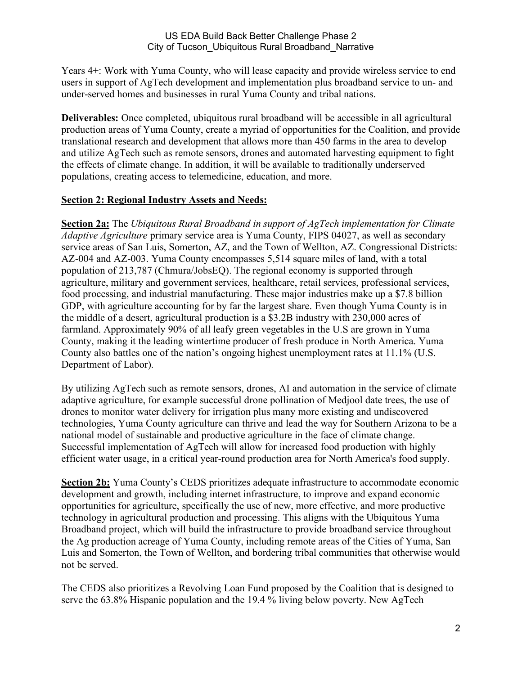Years 4+: Work with Yuma County, who will lease capacity and provide wireless service to end users in support of AgTech development and implementation plus broadband service to un- and under-served homes and businesses in rural Yuma County and tribal nations.

**Deliverables:** Once completed, ubiquitous rural broadband will be accessible in all agricultural production areas of Yuma County, create a myriad of opportunities for the Coalition, and provide translational research and development that allows more than 450 farms in the area to develop and utilize AgTech such as remote sensors, drones and automated harvesting equipment to fight the effects of climate change. In addition, it will be available to traditionally underserved populations, creating access to telemedicine, education, and more.

# **Section 2: Regional Industry Assets and Needs:**

**Section 2a:** The *Ubiquitous Rural Broadband in support of AgTech implementation for Climate Adaptive Agriculture* primary service area is Yuma County, FIPS 04027, as well as secondary service areas of San Luis, Somerton, AZ, and the Town of Wellton, AZ. Congressional Districts: AZ-004 and AZ-003. Yuma County encompasses 5,514 square miles of land, with a total population of 213,787 (Chmura/JobsEQ). The regional economy is supported through agriculture, military and government services, healthcare, retail services, professional services, food processing, and industrial manufacturing. These major industries make up a \$7.8 billion GDP, with agriculture accounting for by far the largest share. Even though Yuma County is in the middle of a desert, agricultural production is a \$3.2B industry with 230,000 acres of farmland. Approximately 90% of all leafy green vegetables in the U.S are grown in Yuma County, making it the leading wintertime producer of fresh produce in North America. Yuma County also battles one of the nation's ongoing highest unemployment rates at 11.1% (U.S. Department of Labor).

By utilizing AgTech such as remote sensors, drones, AI and automation in the service of climate adaptive agriculture, for example successful drone pollination of Medjool date trees, the use of drones to monitor water delivery for irrigation plus many more existing and undiscovered technologies, Yuma County agriculture can thrive and lead the way for Southern Arizona to be a national model of sustainable and productive agriculture in the face of climate change. Successful implementation of AgTech will allow for increased food production with highly efficient water usage, in a critical year-round production area for North America's food supply.

**Section 2b:** Yuma County's CEDS prioritizes adequate infrastructure to accommodate economic development and growth, including internet infrastructure, to improve and expand economic opportunities for agriculture, specifically the use of new, more effective, and more productive technology in agricultural production and processing. This aligns with the Ubiquitous Yuma Broadband project, which will build the infrastructure to provide broadband service throughout the Ag production acreage of Yuma County, including remote areas of the Cities of Yuma, San Luis and Somerton, the Town of Wellton, and bordering tribal communities that otherwise would not be served.

The CEDS also prioritizes a Revolving Loan Fund proposed by the Coalition that is designed to serve the 63.8% Hispanic population and the 19.4 % living below poverty. New AgTech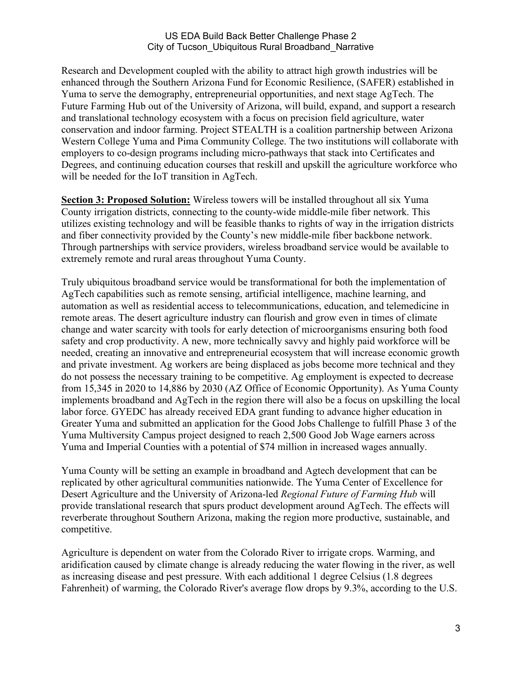Research and Development coupled with the ability to attract high growth industries will be enhanced through the Southern Arizona Fund for Economic Resilience, (SAFER) established in Yuma to serve the demography, entrepreneurial opportunities, and next stage AgTech. The Future Farming Hub out of the University of Arizona, will build, expand, and support a research and translational technology ecosystem with a focus on precision field agriculture, water conservation and indoor farming. Project STEALTH is a coalition partnership between Arizona Western College Yuma and Pima Community College. The two institutions will collaborate with employers to co-design programs including micro-pathways that stack into Certificates and Degrees, and continuing education courses that reskill and upskill the agriculture workforce who will be needed for the IoT transition in AgTech.

**Section 3: Proposed Solution:** Wireless towers will be installed throughout all six Yuma County irrigation districts, connecting to the county-wide middle-mile fiber network. This utilizes existing technology and will be feasible thanks to rights of way in the irrigation districts and fiber connectivity provided by the County's new middle-mile fiber backbone network. Through partnerships with service providers, wireless broadband service would be available to extremely remote and rural areas throughout Yuma County.

Truly ubiquitous broadband service would be transformational for both the implementation of AgTech capabilities such as remote sensing, artificial intelligence, machine learning, and automation as well as residential access to telecommunications, education, and telemedicine in remote areas. The desert agriculture industry can flourish and grow even in times of climate change and water scarcity with tools for early detection of microorganisms ensuring both food safety and crop productivity. A new, more technically savvy and highly paid workforce will be needed, creating an innovative and entrepreneurial ecosystem that will increase economic growth and private investment. Ag workers are being displaced as jobs become more technical and they do not possess the necessary training to be competitive. Ag employment is expected to decrease from 15,345 in 2020 to 14,886 by 2030 (AZ Office of Economic Opportunity). As Yuma County implements broadband and AgTech in the region there will also be a focus on upskilling the local labor force. GYEDC has already received EDA grant funding to advance higher education in Greater Yuma and submitted an application for the Good Jobs Challenge to fulfill Phase 3 of the Yuma Multiversity Campus project designed to reach 2,500 Good Job Wage earners across Yuma and Imperial Counties with a potential of \$74 million in increased wages annually.

Yuma County will be setting an example in broadband and Agtech development that can be replicated by other agricultural communities nationwide. The Yuma Center of Excellence for Desert Agriculture and the University of Arizona-led *Regional Future of Farming Hub* will provide translational research that spurs product development around AgTech. The effects will reverberate throughout Southern Arizona, making the region more productive, sustainable, and competitive.

Agriculture is dependent on water from the Colorado River to irrigate crops. Warming, and aridification caused by climate change is already reducing the water flowing in the river, as well as increasing disease and pest pressure. With each additional 1 degree Celsius (1.8 degrees Fahrenheit) of warming, the Colorado River's average flow drops by 9.3%, according to the U.S.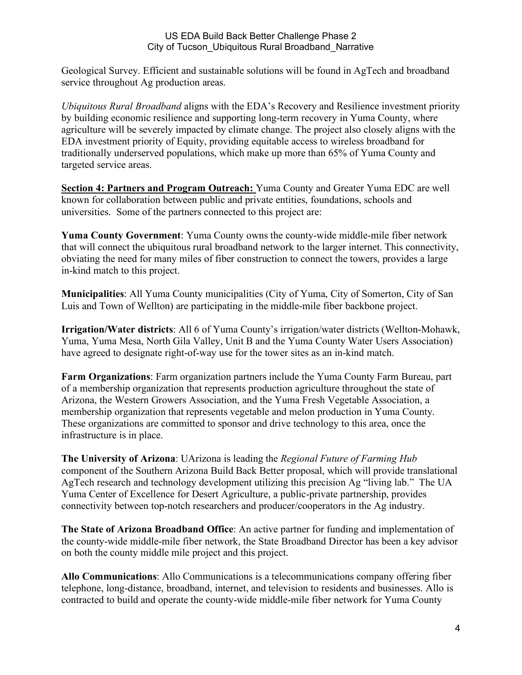Geological Survey. Efficient and sustainable solutions will be found in AgTech and broadband service throughout Ag production areas.

*Ubiquitous Rural Broadband* aligns with the EDA's Recovery and Resilience investment priority by building economic resilience and supporting long-term recovery in Yuma County, where agriculture will be severely impacted by climate change. The project also closely aligns with the EDA investment priority of Equity, providing equitable access to wireless broadband for traditionally underserved populations, which make up more than 65% of Yuma County and targeted service areas.

**Section 4: Partners and Program Outreach:** Yuma County and Greater Yuma EDC are well known for collaboration between public and private entities, foundations, schools and universities. Some of the partners connected to this project are:

**Yuma County Government**: Yuma County owns the county-wide middle-mile fiber network that will connect the ubiquitous rural broadband network to the larger internet. This connectivity, obviating the need for many miles of fiber construction to connect the towers, provides a large in-kind match to this project.

**Municipalities**: All Yuma County municipalities (City of Yuma, City of Somerton, City of San Luis and Town of Wellton) are participating in the middle-mile fiber backbone project.

**Irrigation/Water districts**: All 6 of Yuma County's irrigation/water districts (Wellton-Mohawk, Yuma, Yuma Mesa, North Gila Valley, Unit B and the Yuma County Water Users Association) have agreed to designate right-of-way use for the tower sites as an in-kind match.

**Farm Organizations**: Farm organization partners include the Yuma County Farm Bureau, part of a membership organization that represents production agriculture throughout the state of Arizona, the Western Growers Association, and the Yuma Fresh Vegetable Association, a membership organization that represents vegetable and melon production in Yuma County. These organizations are committed to sponsor and drive technology to this area, once the infrastructure is in place.

**The University of Arizona**: UArizona is leading the *Regional Future of Farming Hub* component of the Southern Arizona Build Back Better proposal, which will provide translational AgTech research and technology development utilizing this precision Ag "living lab." The UA Yuma Center of Excellence for Desert Agriculture, a public-private partnership, provides connectivity between top-notch researchers and producer/cooperators in the Ag industry.

**The State of Arizona Broadband Office**: An active partner for funding and implementation of the county-wide middle-mile fiber network, the State Broadband Director has been a key advisor on both the county middle mile project and this project.

**Allo Communications**: Allo Communications is a telecommunications company offering fiber telephone, long-distance, broadband, internet, and television to residents and businesses. Allo is contracted to build and operate the county-wide middle-mile fiber network for Yuma County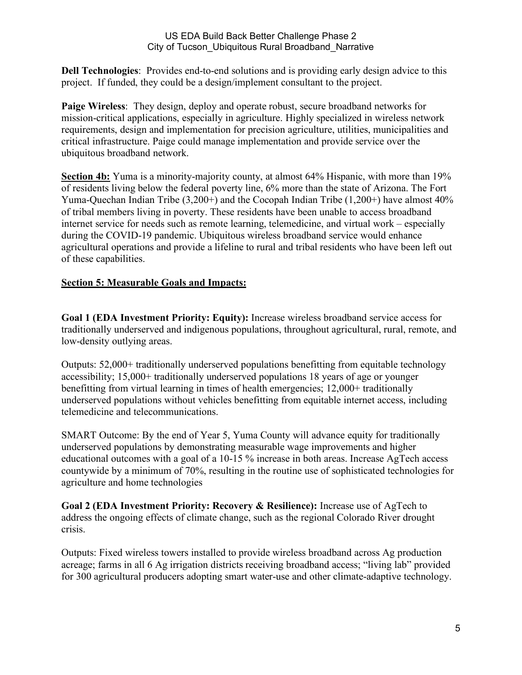**Dell Technologies**: Provides end-to-end solutions and is providing early design advice to this project. If funded, they could be a design/implement consultant to the project.

**Paige Wireless**: They design, deploy and operate robust, secure broadband networks for mission-critical applications, especially in agriculture. Highly specialized in wireless network requirements, design and implementation for precision agriculture, utilities, municipalities and critical infrastructure. Paige could manage implementation and provide service over the ubiquitous broadband network.

**Section 4b:** Yuma is a minority-majority county, at almost 64% Hispanic, with more than 19% of residents living below the federal poverty line, 6% more than the state of Arizona. The Fort Yuma-Quechan Indian Tribe (3,200+) and the Cocopah Indian Tribe (1,200+) have almost 40% of tribal members living in poverty. These residents have been unable to access broadband internet service for needs such as remote learning, telemedicine, and virtual work – especially during the COVID-19 pandemic. Ubiquitous wireless broadband service would enhance agricultural operations and provide a lifeline to rural and tribal residents who have been left out of these capabilities.

# **Section 5: Measurable Goals and Impacts:**

**Goal 1 (EDA Investment Priority: Equity):** Increase wireless broadband service access for traditionally underserved and indigenous populations, throughout agricultural, rural, remote, and low-density outlying areas.

Outputs: 52,000+ traditionally underserved populations benefitting from equitable technology accessibility; 15,000+ traditionally underserved populations 18 years of age or younger benefitting from virtual learning in times of health emergencies; 12,000+ traditionally underserved populations without vehicles benefitting from equitable internet access, including telemedicine and telecommunications.

SMART Outcome: By the end of Year 5, Yuma County will advance equity for traditionally underserved populations by demonstrating measurable wage improvements and higher educational outcomes with a goal of a 10-15 % increase in both areas. Increase AgTech access countywide by a minimum of 70%, resulting in the routine use of sophisticated technologies for agriculture and home technologies

**Goal 2 (EDA Investment Priority: Recovery & Resilience):** Increase use of AgTech to address the ongoing effects of climate change, such as the regional Colorado River drought crisis.

Outputs: Fixed wireless towers installed to provide wireless broadband across Ag production acreage; farms in all 6 Ag irrigation districts receiving broadband access; "living lab" provided for 300 agricultural producers adopting smart water-use and other climate-adaptive technology.